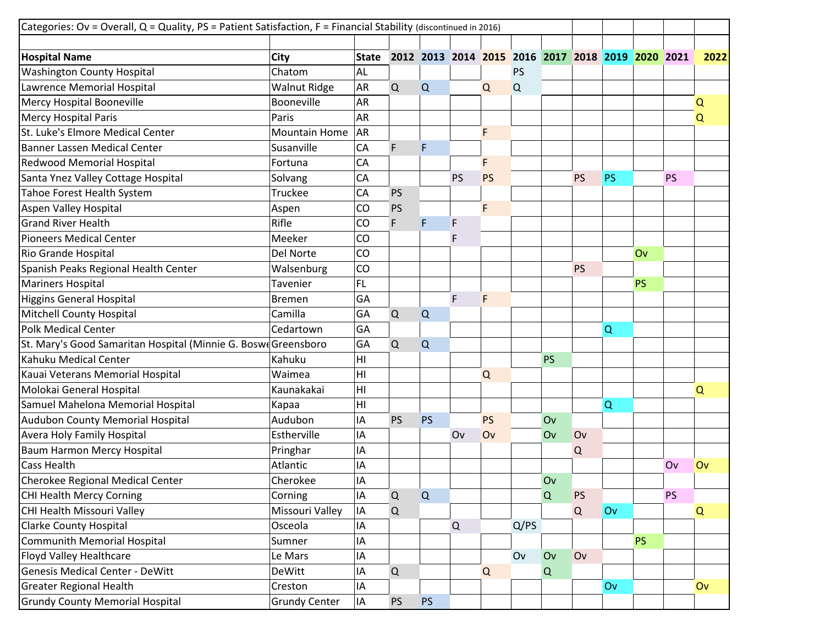| Categories: Ov = Overall, Q = Quality, PS = Patient Satisfaction, F = Financial Stability (discontinued in 2016) |                      |                |             |           |             |           |           |           |                                                   |           |           |           |          |
|------------------------------------------------------------------------------------------------------------------|----------------------|----------------|-------------|-----------|-------------|-----------|-----------|-----------|---------------------------------------------------|-----------|-----------|-----------|----------|
|                                                                                                                  |                      |                |             |           |             |           |           |           |                                                   |           |           |           |          |
| <b>Hospital Name</b>                                                                                             | City                 | <b>State</b>   |             |           |             |           |           |           | 2012 2013 2014 2015 2016 2017 2018 2019 2020 2021 |           |           |           | 2022     |
| <b>Washington County Hospital</b>                                                                                | Chatom               | <b>AL</b>      |             |           |             |           | <b>PS</b> |           |                                                   |           |           |           |          |
| Lawrence Memorial Hospital                                                                                       | Walnut Ridge         | AR             | Q           | Q         |             | Q         | Q         |           |                                                   |           |           |           |          |
| Mercy Hospital Booneville                                                                                        | Booneville           | AR             |             |           |             |           |           |           |                                                   |           |           |           | Q        |
| <b>Mercy Hospital Paris</b>                                                                                      | Paris                | AR             |             |           |             |           |           |           |                                                   |           |           |           | Q        |
| St. Luke's Elmore Medical Center                                                                                 | Mountain Home        | <b>AR</b>      |             |           |             | F         |           |           |                                                   |           |           |           |          |
| <b>Banner Lassen Medical Center</b>                                                                              | Susanville           | CA             | F           | F         |             |           |           |           |                                                   |           |           |           |          |
| <b>Redwood Memorial Hospital</b>                                                                                 | Fortuna              | CA             |             |           |             | F         |           |           |                                                   |           |           |           |          |
| Santa Ynez Valley Cottage Hospital                                                                               | Solvang              | CA             |             |           | <b>PS</b>   | <b>PS</b> |           |           | <b>PS</b>                                         | <b>PS</b> |           | <b>PS</b> |          |
| Tahoe Forest Health System                                                                                       | Truckee              | CA             | <b>PS</b>   |           |             |           |           |           |                                                   |           |           |           |          |
| Aspen Valley Hospital                                                                                            | Aspen                | CO             | PS          |           |             | F.        |           |           |                                                   |           |           |           |          |
| <b>Grand River Health</b>                                                                                        | Rifle                | CO             | F           | F         | F           |           |           |           |                                                   |           |           |           |          |
| <b>Pioneers Medical Center</b>                                                                                   | Meeker               | CO             |             |           | F           |           |           |           |                                                   |           |           |           |          |
| Rio Grande Hospital                                                                                              | Del Norte            | CO             |             |           |             |           |           |           |                                                   |           | Ov        |           |          |
| Spanish Peaks Regional Health Center                                                                             | Walsenburg           | CO             |             |           |             |           |           |           | <b>PS</b>                                         |           |           |           |          |
| <b>Mariners Hospital</b>                                                                                         | Tavenier             | FL.            |             |           |             |           |           |           |                                                   |           | <b>PS</b> |           |          |
| Higgins General Hospital                                                                                         | Bremen               | GA             |             |           | F           | F         |           |           |                                                   |           |           |           |          |
| <b>Mitchell County Hospital</b>                                                                                  | Camilla              | GA             | Q           | Q         |             |           |           |           |                                                   |           |           |           |          |
| <b>Polk Medical Center</b>                                                                                       | Cedartown            | GA             |             |           |             |           |           |           |                                                   | $\Omega$  |           |           |          |
| St. Mary's Good Samaritan Hospital (Minnie G. Boswe Greensboro                                                   |                      | GA             | Q           | Q         |             |           |           |           |                                                   |           |           |           |          |
| Kahuku Medical Center                                                                                            | Kahuku               | H <sub>l</sub> |             |           |             |           |           | <b>PS</b> |                                                   |           |           |           |          |
| Kauai Veterans Memorial Hospital                                                                                 | Waimea               | H <sub>l</sub> |             |           |             | Q         |           |           |                                                   |           |           |           |          |
| Molokai General Hospital                                                                                         | Kaunakakai           | H1             |             |           |             |           |           |           |                                                   |           |           |           | $\Omega$ |
| Samuel Mahelona Memorial Hospital                                                                                | Kapaa                | H <sub>l</sub> |             |           |             |           |           |           |                                                   | $\Omega$  |           |           |          |
| Audubon County Memorial Hospital                                                                                 | Audubon              | IA             | <b>PS</b>   | PS        |             | PS        |           | Ov        |                                                   |           |           |           |          |
| Avera Holy Family Hospital                                                                                       | Estherville          | IΑ             |             |           | Ov          | Ov        |           | Ov        | Ov                                                |           |           |           |          |
| Baum Harmon Mercy Hospital                                                                                       | Pringhar             | IA             |             |           |             |           |           |           | Q                                                 |           |           |           |          |
| <b>Cass Health</b>                                                                                               | Atlantic             | IA             |             |           |             |           |           |           |                                                   |           |           | Ov        | Ov       |
| Cherokee Regional Medical Center                                                                                 | Cherokee             | IA             |             |           |             |           |           | Ov        |                                                   |           |           |           |          |
| CHI Health Mercy Corning                                                                                         | Corning              | IA             | Q           | Q         |             |           |           | Q         | <b>PS</b>                                         |           |           | <b>PS</b> |          |
| CHI Health Missouri Valley                                                                                       | Missouri Valley      | IA             | Q           |           |             |           |           |           | Q                                                 | Ov        |           |           | Q        |
| <b>Clarke County Hospital</b>                                                                                    | Osceola              | IA             |             |           | $\mathsf Q$ |           | Q/PS      |           |                                                   |           |           |           |          |
| <b>Communith Memorial Hospital</b>                                                                               | Sumner               | IA             |             |           |             |           |           |           |                                                   |           | <b>PS</b> |           |          |
| <b>Floyd Valley Healthcare</b>                                                                                   | Le Mars              | IA             |             |           |             |           | Ov        | Ov        | Ov                                                |           |           |           |          |
| <b>Genesis Medical Center - DeWitt</b>                                                                           | DeWitt               | IA             | $\mathsf Q$ |           |             | Q         |           | Q         |                                                   |           |           |           |          |
| <b>Greater Regional Health</b>                                                                                   | Creston              | IA             |             |           |             |           |           |           |                                                   | Ov        |           |           | Ov       |
| <b>Grundy County Memorial Hospital</b>                                                                           | <b>Grundy Center</b> | IA             | <b>PS</b>   | <b>PS</b> |             |           |           |           |                                                   |           |           |           |          |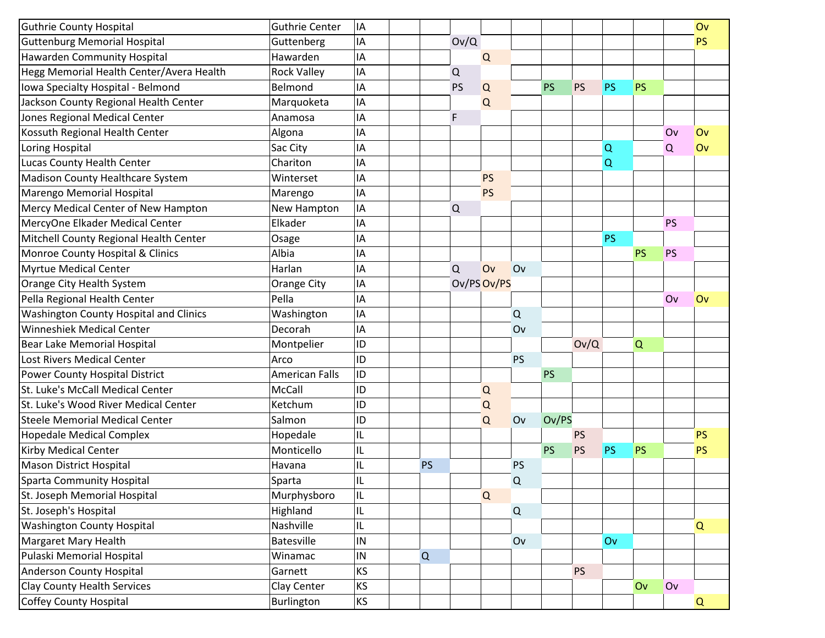| <b>Guttenburg Memorial Hospital</b><br>IA<br>Ov/Q<br><b>PS</b><br>Guttenberg<br>Hawarden Community Hospital<br>IA<br>Hawarden<br>$\mathsf Q$<br>Hegg Memorial Health Center/Avera Health<br><b>Rock Valley</b><br>IA<br>$\mathsf Q$<br>IA<br>Iowa Specialty Hospital - Belmond<br><b>PS</b><br><b>PS</b><br><b>PS</b><br>Belmond<br>PS<br>Q<br><b>PS</b><br>IA<br>Jackson County Regional Health Center<br>Marquoketa<br>Q<br>Jones Regional Medical Center<br>IA<br>F<br>Anamosa<br>Kossuth Regional Health Center<br>IA<br>Algona<br>Ov<br>Ov<br>Loring Hospital<br>Sac City<br>IA<br>Q<br>Q<br>Ov<br>Lucas County Health Center<br>Chariton<br>IA<br>Q<br>IA<br><b>PS</b><br>Winterset<br>IA<br><b>PS</b><br>Marengo<br>IA<br>New Hampton<br>Q<br>IA<br>Elkader<br><b>PS</b><br>IA<br><b>PS</b><br>Osage<br>Albia<br><b>PS</b><br>IA<br><b>PS</b><br>IA<br>Ov<br>Harlan<br>Q<br>Ov<br>Ov/PS Ov/PS<br>Orange City<br>IA<br>Pella Regional Health Center<br>Pella<br>IA<br>Ov<br>Ov<br><b>Washington County Hospital and Clinics</b><br>Washington<br>IA<br>Q<br>Winneshiek Medical Center<br>Decorah<br>IA<br>Ov<br>ID<br>Bear Lake Memorial Hospital<br>Ov/Q<br>Montpelier<br>Q<br>Lost Rivers Medical Center<br>ID<br><b>PS</b><br>Arco<br><b>American Falls</b><br>ID<br><b>PS</b><br>Power County Hospital District<br>McCall<br>ID<br>$\Omega$<br>ID<br>Ketchum<br>Q<br>Ov/PS<br>Salmon<br>ID<br>Q<br>Ov<br>IL<br>Hopedale<br>PS<br><b>PS</b><br>Monticello<br>IL<br><b>PS</b><br><b>PS</b><br>PS<br><b>PS</b><br><b>PS</b><br><b>Mason District Hospital</b><br>IL<br><b>PS</b><br>Havana<br><b>PS</b><br><b>Sparta Community Hospital</b><br>IL<br>Sparta<br>Q<br>IL<br>Murphysboro<br>Q<br>Highland<br>${\mathsf Q}$<br>IL<br><b>Washington County Hospital</b><br>Nashville<br>IL<br>Q<br>Margaret Mary Health<br><b>Batesville</b><br>$\sf IN$<br>Ov<br>Ov<br>Pulaski Memorial Hospital<br>IN<br>Q<br>Winamac<br><b>Anderson County Hospital</b><br>Garnett<br><b>KS</b><br><b>PS</b> |                                        |                       |           |  |  |  |    |    |    |
|---------------------------------------------------------------------------------------------------------------------------------------------------------------------------------------------------------------------------------------------------------------------------------------------------------------------------------------------------------------------------------------------------------------------------------------------------------------------------------------------------------------------------------------------------------------------------------------------------------------------------------------------------------------------------------------------------------------------------------------------------------------------------------------------------------------------------------------------------------------------------------------------------------------------------------------------------------------------------------------------------------------------------------------------------------------------------------------------------------------------------------------------------------------------------------------------------------------------------------------------------------------------------------------------------------------------------------------------------------------------------------------------------------------------------------------------------------------------------------------------------------------------------------------------------------------------------------------------------------------------------------------------------------------------------------------------------------------------------------------------------------------------------------------------------------------------------------------------------------------------------------------------------------------------------------------------------------------------------------------------------|----------------------------------------|-----------------------|-----------|--|--|--|----|----|----|
|                                                                                                                                                                                                                                                                                                                                                                                                                                                                                                                                                                                                                                                                                                                                                                                                                                                                                                                                                                                                                                                                                                                                                                                                                                                                                                                                                                                                                                                                                                                                                                                                                                                                                                                                                                                                                                                                                                                                                                                                   | <b>Guthrie County Hospital</b>         | <b>Guthrie Center</b> | IA        |  |  |  |    |    | Ov |
|                                                                                                                                                                                                                                                                                                                                                                                                                                                                                                                                                                                                                                                                                                                                                                                                                                                                                                                                                                                                                                                                                                                                                                                                                                                                                                                                                                                                                                                                                                                                                                                                                                                                                                                                                                                                                                                                                                                                                                                                   |                                        |                       |           |  |  |  |    |    |    |
|                                                                                                                                                                                                                                                                                                                                                                                                                                                                                                                                                                                                                                                                                                                                                                                                                                                                                                                                                                                                                                                                                                                                                                                                                                                                                                                                                                                                                                                                                                                                                                                                                                                                                                                                                                                                                                                                                                                                                                                                   |                                        |                       |           |  |  |  |    |    |    |
|                                                                                                                                                                                                                                                                                                                                                                                                                                                                                                                                                                                                                                                                                                                                                                                                                                                                                                                                                                                                                                                                                                                                                                                                                                                                                                                                                                                                                                                                                                                                                                                                                                                                                                                                                                                                                                                                                                                                                                                                   |                                        |                       |           |  |  |  |    |    |    |
|                                                                                                                                                                                                                                                                                                                                                                                                                                                                                                                                                                                                                                                                                                                                                                                                                                                                                                                                                                                                                                                                                                                                                                                                                                                                                                                                                                                                                                                                                                                                                                                                                                                                                                                                                                                                                                                                                                                                                                                                   |                                        |                       |           |  |  |  |    |    |    |
|                                                                                                                                                                                                                                                                                                                                                                                                                                                                                                                                                                                                                                                                                                                                                                                                                                                                                                                                                                                                                                                                                                                                                                                                                                                                                                                                                                                                                                                                                                                                                                                                                                                                                                                                                                                                                                                                                                                                                                                                   |                                        |                       |           |  |  |  |    |    |    |
|                                                                                                                                                                                                                                                                                                                                                                                                                                                                                                                                                                                                                                                                                                                                                                                                                                                                                                                                                                                                                                                                                                                                                                                                                                                                                                                                                                                                                                                                                                                                                                                                                                                                                                                                                                                                                                                                                                                                                                                                   |                                        |                       |           |  |  |  |    |    |    |
|                                                                                                                                                                                                                                                                                                                                                                                                                                                                                                                                                                                                                                                                                                                                                                                                                                                                                                                                                                                                                                                                                                                                                                                                                                                                                                                                                                                                                                                                                                                                                                                                                                                                                                                                                                                                                                                                                                                                                                                                   |                                        |                       |           |  |  |  |    |    |    |
|                                                                                                                                                                                                                                                                                                                                                                                                                                                                                                                                                                                                                                                                                                                                                                                                                                                                                                                                                                                                                                                                                                                                                                                                                                                                                                                                                                                                                                                                                                                                                                                                                                                                                                                                                                                                                                                                                                                                                                                                   |                                        |                       |           |  |  |  |    |    |    |
|                                                                                                                                                                                                                                                                                                                                                                                                                                                                                                                                                                                                                                                                                                                                                                                                                                                                                                                                                                                                                                                                                                                                                                                                                                                                                                                                                                                                                                                                                                                                                                                                                                                                                                                                                                                                                                                                                                                                                                                                   |                                        |                       |           |  |  |  |    |    |    |
|                                                                                                                                                                                                                                                                                                                                                                                                                                                                                                                                                                                                                                                                                                                                                                                                                                                                                                                                                                                                                                                                                                                                                                                                                                                                                                                                                                                                                                                                                                                                                                                                                                                                                                                                                                                                                                                                                                                                                                                                   | Madison County Healthcare System       |                       |           |  |  |  |    |    |    |
|                                                                                                                                                                                                                                                                                                                                                                                                                                                                                                                                                                                                                                                                                                                                                                                                                                                                                                                                                                                                                                                                                                                                                                                                                                                                                                                                                                                                                                                                                                                                                                                                                                                                                                                                                                                                                                                                                                                                                                                                   | Marengo Memorial Hospital              |                       |           |  |  |  |    |    |    |
|                                                                                                                                                                                                                                                                                                                                                                                                                                                                                                                                                                                                                                                                                                                                                                                                                                                                                                                                                                                                                                                                                                                                                                                                                                                                                                                                                                                                                                                                                                                                                                                                                                                                                                                                                                                                                                                                                                                                                                                                   | Mercy Medical Center of New Hampton    |                       |           |  |  |  |    |    |    |
|                                                                                                                                                                                                                                                                                                                                                                                                                                                                                                                                                                                                                                                                                                                                                                                                                                                                                                                                                                                                                                                                                                                                                                                                                                                                                                                                                                                                                                                                                                                                                                                                                                                                                                                                                                                                                                                                                                                                                                                                   | MercyOne Elkader Medical Center        |                       |           |  |  |  |    |    |    |
|                                                                                                                                                                                                                                                                                                                                                                                                                                                                                                                                                                                                                                                                                                                                                                                                                                                                                                                                                                                                                                                                                                                                                                                                                                                                                                                                                                                                                                                                                                                                                                                                                                                                                                                                                                                                                                                                                                                                                                                                   | Mitchell County Regional Health Center |                       |           |  |  |  |    |    |    |
|                                                                                                                                                                                                                                                                                                                                                                                                                                                                                                                                                                                                                                                                                                                                                                                                                                                                                                                                                                                                                                                                                                                                                                                                                                                                                                                                                                                                                                                                                                                                                                                                                                                                                                                                                                                                                                                                                                                                                                                                   | Monroe County Hospital & Clinics       |                       |           |  |  |  |    |    |    |
|                                                                                                                                                                                                                                                                                                                                                                                                                                                                                                                                                                                                                                                                                                                                                                                                                                                                                                                                                                                                                                                                                                                                                                                                                                                                                                                                                                                                                                                                                                                                                                                                                                                                                                                                                                                                                                                                                                                                                                                                   | <b>Myrtue Medical Center</b>           |                       |           |  |  |  |    |    |    |
|                                                                                                                                                                                                                                                                                                                                                                                                                                                                                                                                                                                                                                                                                                                                                                                                                                                                                                                                                                                                                                                                                                                                                                                                                                                                                                                                                                                                                                                                                                                                                                                                                                                                                                                                                                                                                                                                                                                                                                                                   | Orange City Health System              |                       |           |  |  |  |    |    |    |
|                                                                                                                                                                                                                                                                                                                                                                                                                                                                                                                                                                                                                                                                                                                                                                                                                                                                                                                                                                                                                                                                                                                                                                                                                                                                                                                                                                                                                                                                                                                                                                                                                                                                                                                                                                                                                                                                                                                                                                                                   |                                        |                       |           |  |  |  |    |    |    |
|                                                                                                                                                                                                                                                                                                                                                                                                                                                                                                                                                                                                                                                                                                                                                                                                                                                                                                                                                                                                                                                                                                                                                                                                                                                                                                                                                                                                                                                                                                                                                                                                                                                                                                                                                                                                                                                                                                                                                                                                   |                                        |                       |           |  |  |  |    |    |    |
|                                                                                                                                                                                                                                                                                                                                                                                                                                                                                                                                                                                                                                                                                                                                                                                                                                                                                                                                                                                                                                                                                                                                                                                                                                                                                                                                                                                                                                                                                                                                                                                                                                                                                                                                                                                                                                                                                                                                                                                                   |                                        |                       |           |  |  |  |    |    |    |
|                                                                                                                                                                                                                                                                                                                                                                                                                                                                                                                                                                                                                                                                                                                                                                                                                                                                                                                                                                                                                                                                                                                                                                                                                                                                                                                                                                                                                                                                                                                                                                                                                                                                                                                                                                                                                                                                                                                                                                                                   |                                        |                       |           |  |  |  |    |    |    |
|                                                                                                                                                                                                                                                                                                                                                                                                                                                                                                                                                                                                                                                                                                                                                                                                                                                                                                                                                                                                                                                                                                                                                                                                                                                                                                                                                                                                                                                                                                                                                                                                                                                                                                                                                                                                                                                                                                                                                                                                   |                                        |                       |           |  |  |  |    |    |    |
|                                                                                                                                                                                                                                                                                                                                                                                                                                                                                                                                                                                                                                                                                                                                                                                                                                                                                                                                                                                                                                                                                                                                                                                                                                                                                                                                                                                                                                                                                                                                                                                                                                                                                                                                                                                                                                                                                                                                                                                                   |                                        |                       |           |  |  |  |    |    |    |
|                                                                                                                                                                                                                                                                                                                                                                                                                                                                                                                                                                                                                                                                                                                                                                                                                                                                                                                                                                                                                                                                                                                                                                                                                                                                                                                                                                                                                                                                                                                                                                                                                                                                                                                                                                                                                                                                                                                                                                                                   | St. Luke's McCall Medical Center       |                       |           |  |  |  |    |    |    |
|                                                                                                                                                                                                                                                                                                                                                                                                                                                                                                                                                                                                                                                                                                                                                                                                                                                                                                                                                                                                                                                                                                                                                                                                                                                                                                                                                                                                                                                                                                                                                                                                                                                                                                                                                                                                                                                                                                                                                                                                   | St. Luke's Wood River Medical Center   |                       |           |  |  |  |    |    |    |
|                                                                                                                                                                                                                                                                                                                                                                                                                                                                                                                                                                                                                                                                                                                                                                                                                                                                                                                                                                                                                                                                                                                                                                                                                                                                                                                                                                                                                                                                                                                                                                                                                                                                                                                                                                                                                                                                                                                                                                                                   | <b>Steele Memorial Medical Center</b>  |                       |           |  |  |  |    |    |    |
|                                                                                                                                                                                                                                                                                                                                                                                                                                                                                                                                                                                                                                                                                                                                                                                                                                                                                                                                                                                                                                                                                                                                                                                                                                                                                                                                                                                                                                                                                                                                                                                                                                                                                                                                                                                                                                                                                                                                                                                                   | <b>Hopedale Medical Complex</b>        |                       |           |  |  |  |    |    |    |
|                                                                                                                                                                                                                                                                                                                                                                                                                                                                                                                                                                                                                                                                                                                                                                                                                                                                                                                                                                                                                                                                                                                                                                                                                                                                                                                                                                                                                                                                                                                                                                                                                                                                                                                                                                                                                                                                                                                                                                                                   | <b>Kirby Medical Center</b>            |                       |           |  |  |  |    |    |    |
|                                                                                                                                                                                                                                                                                                                                                                                                                                                                                                                                                                                                                                                                                                                                                                                                                                                                                                                                                                                                                                                                                                                                                                                                                                                                                                                                                                                                                                                                                                                                                                                                                                                                                                                                                                                                                                                                                                                                                                                                   |                                        |                       |           |  |  |  |    |    |    |
|                                                                                                                                                                                                                                                                                                                                                                                                                                                                                                                                                                                                                                                                                                                                                                                                                                                                                                                                                                                                                                                                                                                                                                                                                                                                                                                                                                                                                                                                                                                                                                                                                                                                                                                                                                                                                                                                                                                                                                                                   |                                        |                       |           |  |  |  |    |    |    |
|                                                                                                                                                                                                                                                                                                                                                                                                                                                                                                                                                                                                                                                                                                                                                                                                                                                                                                                                                                                                                                                                                                                                                                                                                                                                                                                                                                                                                                                                                                                                                                                                                                                                                                                                                                                                                                                                                                                                                                                                   | St. Joseph Memorial Hospital           |                       |           |  |  |  |    |    |    |
|                                                                                                                                                                                                                                                                                                                                                                                                                                                                                                                                                                                                                                                                                                                                                                                                                                                                                                                                                                                                                                                                                                                                                                                                                                                                                                                                                                                                                                                                                                                                                                                                                                                                                                                                                                                                                                                                                                                                                                                                   | St. Joseph's Hospital                  |                       |           |  |  |  |    |    |    |
|                                                                                                                                                                                                                                                                                                                                                                                                                                                                                                                                                                                                                                                                                                                                                                                                                                                                                                                                                                                                                                                                                                                                                                                                                                                                                                                                                                                                                                                                                                                                                                                                                                                                                                                                                                                                                                                                                                                                                                                                   |                                        |                       |           |  |  |  |    |    |    |
|                                                                                                                                                                                                                                                                                                                                                                                                                                                                                                                                                                                                                                                                                                                                                                                                                                                                                                                                                                                                                                                                                                                                                                                                                                                                                                                                                                                                                                                                                                                                                                                                                                                                                                                                                                                                                                                                                                                                                                                                   |                                        |                       |           |  |  |  |    |    |    |
|                                                                                                                                                                                                                                                                                                                                                                                                                                                                                                                                                                                                                                                                                                                                                                                                                                                                                                                                                                                                                                                                                                                                                                                                                                                                                                                                                                                                                                                                                                                                                                                                                                                                                                                                                                                                                                                                                                                                                                                                   |                                        |                       |           |  |  |  |    |    |    |
|                                                                                                                                                                                                                                                                                                                                                                                                                                                                                                                                                                                                                                                                                                                                                                                                                                                                                                                                                                                                                                                                                                                                                                                                                                                                                                                                                                                                                                                                                                                                                                                                                                                                                                                                                                                                                                                                                                                                                                                                   |                                        |                       |           |  |  |  |    |    |    |
|                                                                                                                                                                                                                                                                                                                                                                                                                                                                                                                                                                                                                                                                                                                                                                                                                                                                                                                                                                                                                                                                                                                                                                                                                                                                                                                                                                                                                                                                                                                                                                                                                                                                                                                                                                                                                                                                                                                                                                                                   | <b>Clay County Health Services</b>     | Clay Center           | <b>KS</b> |  |  |  | Ov | Ov |    |
| Burlington<br>KS<br>Q                                                                                                                                                                                                                                                                                                                                                                                                                                                                                                                                                                                                                                                                                                                                                                                                                                                                                                                                                                                                                                                                                                                                                                                                                                                                                                                                                                                                                                                                                                                                                                                                                                                                                                                                                                                                                                                                                                                                                                             | <b>Coffey County Hospital</b>          |                       |           |  |  |  |    |    |    |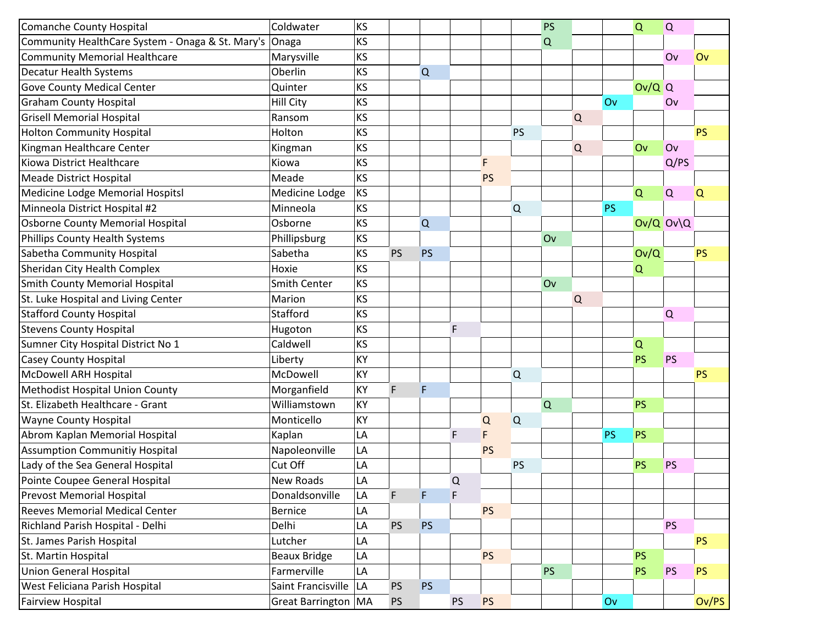| Comanche County Hospital                         | Coldwater               | <b>KS</b> |             |           |           |           |           | <b>PS</b> |   |           | $\overline{Q}$ | $\alpha$  |           |
|--------------------------------------------------|-------------------------|-----------|-------------|-----------|-----------|-----------|-----------|-----------|---|-----------|----------------|-----------|-----------|
| Community HealthCare System - Onaga & St. Mary's | Onaga                   | KS        |             |           |           |           |           | $\Omega$  |   |           |                |           |           |
| <b>Community Memorial Healthcare</b>             | Marysville              | KS        |             |           |           |           |           |           |   |           |                | Ov        | Ov        |
| <b>Decatur Health Systems</b>                    | Oberlin                 | KS        |             | Q         |           |           |           |           |   |           |                |           |           |
| <b>Gove County Medical Center</b>                | Quinter                 | KS        |             |           |           |           |           |           |   |           | $Ov/Q$ Q       |           |           |
| <b>Graham County Hospital</b>                    | <b>Hill City</b>        | KS        |             |           |           |           |           |           |   | Ov        |                | Ov        |           |
| <b>Grisell Memorial Hospital</b>                 | Ransom                  | KS        |             |           |           |           |           |           | Q |           |                |           |           |
| <b>Holton Community Hospital</b>                 | Holton                  | KS        |             |           |           |           | <b>PS</b> |           |   |           |                |           | <b>PS</b> |
| Kingman Healthcare Center                        | Kingman                 | KS        |             |           |           |           |           |           | Q |           | Ov             | Ov        |           |
| Kiowa District Healthcare                        | Kiowa                   | KS        |             |           |           | F         |           |           |   |           |                | Q/PS      |           |
| Meade District Hospital                          | Meade                   | KS        |             |           |           | <b>PS</b> |           |           |   |           |                |           |           |
| Medicine Lodge Memorial Hospitsl                 | Medicine Lodge          | KS        |             |           |           |           |           |           |   |           | $\overline{Q}$ | $\alpha$  | Q         |
| Minneola District Hospital #2                    | Minneola                | <b>KS</b> |             |           |           |           | $\Omega$  |           |   | <b>PS</b> |                |           |           |
| <b>Osborne County Memorial Hospital</b>          | Osborne                 | KS        |             | Q         |           |           |           |           |   |           |                | 0v/Q 0v\Q |           |
| Phillips County Health Systems                   | Phillipsburg            | KS        |             |           |           |           |           | Ov        |   |           |                |           |           |
| Sabetha Community Hospital                       | Sabetha                 | KS        | <b>PS</b>   | PS        |           |           |           |           |   |           | Ov/Q           |           | <b>PS</b> |
| Sheridan City Health Complex                     | Hoxie                   | KS        |             |           |           |           |           |           |   |           | $\alpha$       |           |           |
| Smith County Memorial Hospital                   | <b>Smith Center</b>     | KS        |             |           |           |           |           | Ov        |   |           |                |           |           |
| St. Luke Hospital and Living Center              | Marion                  | KS        |             |           |           |           |           |           | Q |           |                |           |           |
| <b>Stafford County Hospital</b>                  | Stafford                | KS        |             |           |           |           |           |           |   |           |                | Q         |           |
| <b>Stevens County Hospital</b>                   | Hugoton                 | KS        |             |           | F         |           |           |           |   |           |                |           |           |
| Sumner City Hospital District No 1               | Caldwell                | KS        |             |           |           |           |           |           |   |           | $\Omega$       |           |           |
| <b>Casey County Hospital</b>                     | Liberty                 | KY        |             |           |           |           |           |           |   |           | <b>PS</b>      | <b>PS</b> |           |
| <b>McDowell ARH Hospital</b>                     | McDowell                | KY        |             |           |           |           | $\Omega$  |           |   |           |                |           | <b>PS</b> |
| <b>Methodist Hospital Union County</b>           | Morganfield             | KY        | $\mathsf F$ | F         |           |           |           |           |   |           |                |           |           |
| St. Elizabeth Healthcare - Grant                 | Williamstown            | KY        |             |           |           |           |           | Q         |   |           | <b>PS</b>      |           |           |
| <b>Wayne County Hospital</b>                     | Monticello              | KY        |             |           |           | Q         | Q         |           |   |           |                |           |           |
| Abrom Kaplan Memorial Hospital                   | Kaplan                  | LA        |             |           | F         | F         |           |           |   | <b>PS</b> | <b>PS</b>      |           |           |
| <b>Assumption Communitiy Hospital</b>            | Napoleonville           | LA        |             |           |           | <b>PS</b> |           |           |   |           |                |           |           |
| Lady of the Sea General Hospital                 | Cut Off                 | LA        |             |           |           |           | <b>PS</b> |           |   |           | <b>PS</b>      | <b>PS</b> |           |
| Pointe Coupee General Hospital                   | New Roads               | LA        |             |           | $\Omega$  |           |           |           |   |           |                |           |           |
| <b>Prevost Memorial Hospital</b>                 | Donaldsonville          | LA        | F           | F         | F         |           |           |           |   |           |                |           |           |
| <b>Reeves Memorial Medical Center</b>            | <b>Bernice</b>          | LA        |             |           |           | <b>PS</b> |           |           |   |           |                |           |           |
| Richland Parish Hospital - Delhi                 | Delhi                   | LA        | <b>PS</b>   | <b>PS</b> |           |           |           |           |   |           |                | <b>PS</b> |           |
| St. James Parish Hospital                        | Lutcher                 | LA        |             |           |           |           |           |           |   |           |                |           | <b>PS</b> |
| St. Martin Hospital                              | <b>Beaux Bridge</b>     | LA        |             |           |           | <b>PS</b> |           |           |   |           | <b>PS</b>      |           |           |
| <b>Union General Hospital</b>                    | Farmerville             | LA        |             |           |           |           |           | <b>PS</b> |   |           | <b>PS</b>      | <b>PS</b> | PS.       |
| West Feliciana Parish Hospital                   | Saint Francisville   LA |           | <b>PS</b>   | PS        |           |           |           |           |   |           |                |           |           |
| <b>Fairview Hospital</b>                         | Great Barrington   MA   |           | <b>PS</b>   |           | <b>PS</b> | <b>PS</b> |           |           |   | Ov        |                |           | Ov/PS     |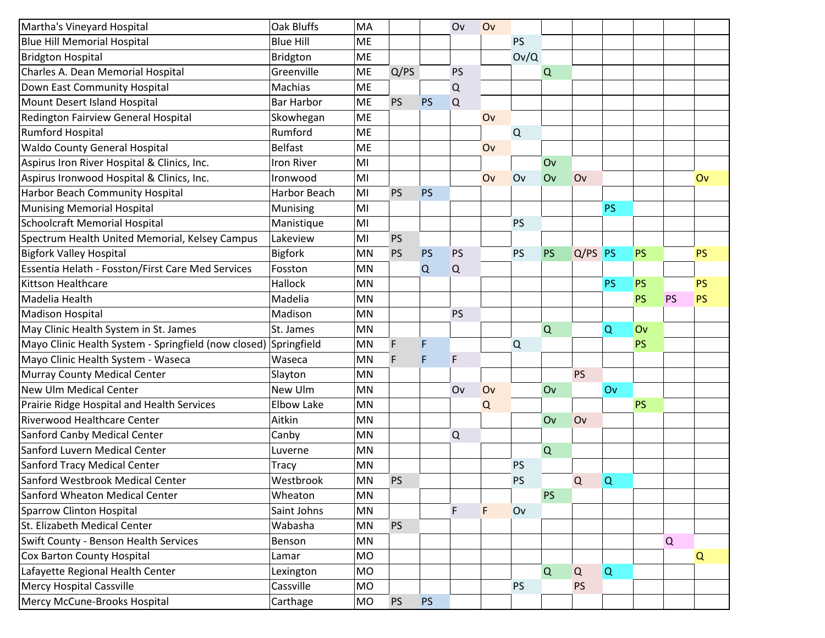| Martha's Vineyard Hospital                                       | Oak Bluffs        | MA        |           |           | Ov          | Ov          |             |             |           |           |           |    |           |
|------------------------------------------------------------------|-------------------|-----------|-----------|-----------|-------------|-------------|-------------|-------------|-----------|-----------|-----------|----|-----------|
| <b>Blue Hill Memorial Hospital</b>                               | <b>Blue Hill</b>  | ME        |           |           |             |             | <b>PS</b>   |             |           |           |           |    |           |
| <b>Bridgton Hospital</b>                                         | Bridgton          | ME        |           |           |             |             | Ov/Q        |             |           |           |           |    |           |
| Charles A. Dean Memorial Hospital                                | Greenville        | ME        | Q/PS      |           | <b>PS</b>   |             |             | Q           |           |           |           |    |           |
| Down East Community Hospital                                     | Machias           | ME        |           |           | $\mathsf Q$ |             |             |             |           |           |           |    |           |
| Mount Desert Island Hospital                                     | <b>Bar Harbor</b> | <b>ME</b> | <b>PS</b> | <b>PS</b> | Q           |             |             |             |           |           |           |    |           |
| Redington Fairview General Hospital                              | Skowhegan         | ME        |           |           |             | Ov          |             |             |           |           |           |    |           |
| <b>Rumford Hospital</b>                                          | Rumford           | ME        |           |           |             |             | $\mathsf Q$ |             |           |           |           |    |           |
| <b>Waldo County General Hospital</b>                             | <b>Belfast</b>    | ME        |           |           |             | Ov          |             |             |           |           |           |    |           |
| Aspirus Iron River Hospital & Clinics, Inc.                      | <b>Iron River</b> | MI        |           |           |             |             |             | Ov          |           |           |           |    |           |
| Aspirus Ironwood Hospital & Clinics, Inc.                        | Ironwood          | MI        |           |           |             | Ov          | Ov          | Ov          | Ov        |           |           |    | Ov        |
| Harbor Beach Community Hospital                                  | Harbor Beach      | MI        | PS        | <b>PS</b> |             |             |             |             |           |           |           |    |           |
| <b>Munising Memorial Hospital</b>                                | Munising          | MI        |           |           |             |             |             |             |           | <b>PS</b> |           |    |           |
| <b>Schoolcraft Memorial Hospital</b>                             | Manistique        | MI        |           |           |             |             | <b>PS</b>   |             |           |           |           |    |           |
| Spectrum Health United Memorial, Kelsey Campus                   | Lakeview          | MI        | <b>PS</b> |           |             |             |             |             |           |           |           |    |           |
| <b>Bigfork Valley Hospital</b>                                   | <b>Bigfork</b>    | MN        | PS        | <b>PS</b> | <b>PS</b>   |             | <b>PS</b>   | PS          | $Q/PS$ PS |           | <b>PS</b> |    | <b>PS</b> |
| Essentia Helath - Fosston/First Care Med Services                | Fosston           | MN        |           | Q         | Q           |             |             |             |           |           |           |    |           |
| <b>Kittson Healthcare</b>                                        | Hallock           | MN        |           |           |             |             |             |             |           | <b>PS</b> | <b>PS</b> |    | PS        |
| Madelia Health                                                   | Madelia           | <b>MN</b> |           |           |             |             |             |             |           |           | PS        | PS | PS        |
| <b>Madison Hospital</b>                                          | Madison           | MN        |           |           | <b>PS</b>   |             |             |             |           |           |           |    |           |
| May Clinic Health System in St. James                            | St. James         | MN        |           |           |             |             |             | $\Omega$    |           | Q         | Ov        |    |           |
| Mayo Clinic Health System - Springfield (now closed) Springfield |                   | MN        | F         | F         |             |             | Q           |             |           |           | <b>PS</b> |    |           |
| Mayo Clinic Health System - Waseca                               | Waseca            | MN        | F         | F         | F           |             |             |             |           |           |           |    |           |
| Murray County Medical Center                                     | Slayton           | MN        |           |           |             |             |             |             | <b>PS</b> |           |           |    |           |
| <b>New Ulm Medical Center</b>                                    | New Ulm           | <b>MN</b> |           |           | Ov          | Ov          |             | Ov          |           | Ov        |           |    |           |
| Prairie Ridge Hospital and Health Services                       | <b>Elbow Lake</b> | MN        |           |           |             | $\mathsf Q$ |             |             |           |           | <b>PS</b> |    |           |
| Riverwood Healthcare Center                                      | Aitkin            | MN        |           |           |             |             |             | Ov          | Ov        |           |           |    |           |
| Sanford Canby Medical Center                                     | Canby             | MN        |           |           | $\mathsf Q$ |             |             |             |           |           |           |    |           |
| Sanford Luvern Medical Center                                    | Luverne           | MN        |           |           |             |             |             | $\mathsf Q$ |           |           |           |    |           |
| <b>Sanford Tracy Medical Center</b>                              | <b>Tracy</b>      | MN        |           |           |             |             | <b>PS</b>   |             |           |           |           |    |           |
| Sanford Westbrook Medical Center                                 | Westbrook         | MN        | PS        |           |             |             | <b>PS</b>   |             | Q         | $\Omega$  |           |    |           |
| Sanford Wheaton Medical Center                                   | Wheaton           | MN        |           |           |             |             |             | <b>PS</b>   |           |           |           |    |           |
| <b>Sparrow Clinton Hospital</b>                                  | Saint Johns       | MN        |           |           | F           | F           | Ov          |             |           |           |           |    |           |
| St. Elizabeth Medical Center                                     | Wabasha           | MN        | <b>PS</b> |           |             |             |             |             |           |           |           |    |           |
| <b>Swift County - Benson Health Services</b>                     | Benson            | MN        |           |           |             |             |             |             |           |           |           | Q  |           |
| <b>Cox Barton County Hospital</b>                                | Lamar             | <b>MO</b> |           |           |             |             |             |             |           |           |           |    | Q         |
| Lafayette Regional Health Center                                 | Lexington         | <b>MO</b> |           |           |             |             |             | $\mathsf Q$ | Q         | $\alpha$  |           |    |           |
| <b>Mercy Hospital Cassville</b>                                  | Cassville         | <b>MO</b> |           |           |             |             | <b>PS</b>   |             | PS        |           |           |    |           |
| Mercy McCune-Brooks Hospital                                     | Carthage          | MO        | <b>PS</b> | <b>PS</b> |             |             |             |             |           |           |           |    |           |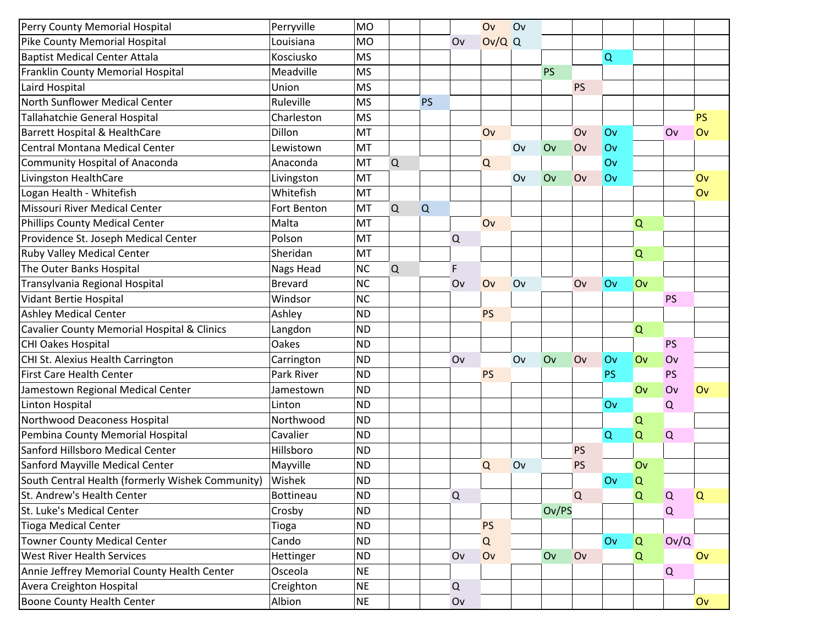| Perry County Memorial Hospital                   | Perryville     | <b>MO</b> |   |           |               | Ov        | Ov |           |           |           |          |           |           |
|--------------------------------------------------|----------------|-----------|---|-----------|---------------|-----------|----|-----------|-----------|-----------|----------|-----------|-----------|
| Pike County Memorial Hospital                    | Louisiana      | <b>MO</b> |   |           | Ov            | $Ov/Q$ Q  |    |           |           |           |          |           |           |
| <b>Baptist Medical Center Attala</b>             | Kosciusko      | <b>MS</b> |   |           |               |           |    |           |           | Q         |          |           |           |
| Franklin County Memorial Hospital                | Meadville      | <b>MS</b> |   |           |               |           |    | <b>PS</b> |           |           |          |           |           |
| Laird Hospital                                   | Union          | <b>MS</b> |   |           |               |           |    |           | <b>PS</b> |           |          |           |           |
| North Sunflower Medical Center                   | Ruleville      | <b>MS</b> |   | <b>PS</b> |               |           |    |           |           |           |          |           |           |
| Tallahatchie General Hospital                    | Charleston     | <b>MS</b> |   |           |               |           |    |           |           |           |          |           | <b>PS</b> |
| Barrett Hospital & HealthCare                    | Dillon         | MT        |   |           |               | Ov        |    |           | Ov        | Ov        |          | Ov        | Ov        |
| Central Montana Medical Center                   | Lewistown      | MT        |   |           |               |           | Ov | Ov        | Ov        | Ov        |          |           |           |
| Community Hospital of Anaconda                   | Anaconda       | MT        | Q |           |               | Q         |    |           |           | Ov        |          |           |           |
| Livingston HealthCare                            | Livingston     | MT        |   |           |               |           | Ov | Ov        | Ov        | Ov        |          |           | Ov        |
| Logan Health - Whitefish                         | Whitefish      | MT        |   |           |               |           |    |           |           |           |          |           | Ov        |
| Missouri River Medical Center                    | Fort Benton    | MT        | Q | Q         |               |           |    |           |           |           |          |           |           |
| <b>Phillips County Medical Center</b>            | Malta          | MT        |   |           |               | Ov        |    |           |           |           | Q        |           |           |
| Providence St. Joseph Medical Center             | Polson         | MT        |   |           | $\mathsf Q$   |           |    |           |           |           |          |           |           |
| <b>Ruby Valley Medical Center</b>                | Sheridan       | MT        |   |           |               |           |    |           |           |           | $\Omega$ |           |           |
| The Outer Banks Hospital                         | Nags Head      | <b>NC</b> | Q |           | F             |           |    |           |           |           |          |           |           |
| Transylvania Regional Hospital                   | <b>Brevard</b> | <b>NC</b> |   |           | Ov            | Ov        | Ov |           | Ov        | Ov        | Ov       |           |           |
| <b>Vidant Bertie Hospital</b>                    | Windsor        | <b>NC</b> |   |           |               |           |    |           |           |           |          | <b>PS</b> |           |
| <b>Ashley Medical Center</b>                     | Ashley         | <b>ND</b> |   |           |               | <b>PS</b> |    |           |           |           |          |           |           |
| Cavalier County Memorial Hospital & Clinics      | Langdon        | <b>ND</b> |   |           |               |           |    |           |           |           | Q        |           |           |
| CHI Oakes Hospital                               | Oakes          | <b>ND</b> |   |           |               |           |    |           |           |           |          | <b>PS</b> |           |
| CHI St. Alexius Health Carrington                | Carrington     | <b>ND</b> |   |           | Ov            |           | Ov | Ov        | Ov        | Ov        | Ov       | Ov        |           |
| <b>First Care Health Center</b>                  | Park River     | <b>ND</b> |   |           |               | <b>PS</b> |    |           |           | <b>PS</b> |          | <b>PS</b> |           |
| Jamestown Regional Medical Center                | Jamestown      | <b>ND</b> |   |           |               |           |    |           |           |           | Ov       | Ov        | Ov        |
| Linton Hospital                                  | Linton         | <b>ND</b> |   |           |               |           |    |           |           | Ov        |          | $\Omega$  |           |
| Northwood Deaconess Hospital                     | Northwood      | <b>ND</b> |   |           |               |           |    |           |           |           | Q        |           |           |
| Pembina County Memorial Hospital                 | Cavalier       | <b>ND</b> |   |           |               |           |    |           |           | Q         | Q        | Q         |           |
| Sanford Hillsboro Medical Center                 | Hillsboro      | <b>ND</b> |   |           |               |           |    |           | <b>PS</b> |           |          |           |           |
| Sanford Mayville Medical Center                  | Mayville       | <b>ND</b> |   |           |               | $\Omega$  | Ov |           | <b>PS</b> |           | Ov       |           |           |
| South Central Health (formerly Wishek Community) | Wishek         | <b>ND</b> |   |           |               |           |    |           |           | Ov        | Q        |           |           |
| St. Andrew's Health Center                       | Bottineau      | <b>ND</b> |   |           | ${\mathsf Q}$ |           |    |           | Q         |           | Q        | $\alpha$  | Q         |
| St. Luke's Medical Center                        | Crosby         | <b>ND</b> |   |           |               |           |    | Ov/PS     |           |           |          | $\Omega$  |           |
| <b>Tioga Medical Center</b>                      | Tioga          | <b>ND</b> |   |           |               | <b>PS</b> |    |           |           |           |          |           |           |
| <b>Towner County Medical Center</b>              | Cando          | <b>ND</b> |   |           |               | Q         |    |           |           | Ov        | Q        | Ov/Q      |           |
| <b>West River Health Services</b>                | Hettinger      | <b>ND</b> |   |           | Ov            | Ov        |    | Ov        | Ov        |           | Q        |           | Ov        |
| Annie Jeffrey Memorial County Health Center      | Osceola        | <b>NE</b> |   |           |               |           |    |           |           |           |          | $\Omega$  |           |
| Avera Creighton Hospital                         | Creighton      | <b>NE</b> |   |           | $\mathsf Q$   |           |    |           |           |           |          |           |           |
| Boone County Health Center                       | Albion         | <b>NE</b> |   |           | Ov            |           |    |           |           |           |          |           | Ov        |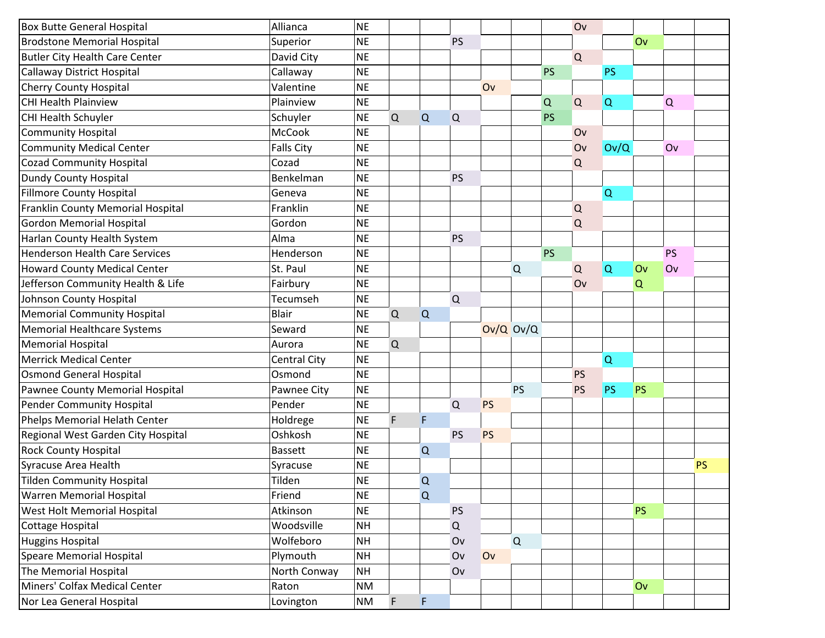| <b>Box Butte General Hospital</b>     | Allianca          | <b>NE</b> |   |   |               |               |           |           | Ov        |             |           |           |           |
|---------------------------------------|-------------------|-----------|---|---|---------------|---------------|-----------|-----------|-----------|-------------|-----------|-----------|-----------|
| <b>Brodstone Memorial Hospital</b>    | Superior          | <b>NE</b> |   |   | <b>PS</b>     |               |           |           |           |             | Ov        |           |           |
| <b>Butler City Health Care Center</b> | David City        | <b>NE</b> |   |   |               |               |           |           | Q         |             |           |           |           |
| <b>Callaway District Hospital</b>     | Callaway          | <b>NE</b> |   |   |               |               |           | <b>PS</b> |           | <b>PS</b>   |           |           |           |
| <b>Cherry County Hospital</b>         | Valentine         | <b>NE</b> |   |   |               | Ov            |           |           |           |             |           |           |           |
| <b>CHI Health Plainview</b>           | Plainview         | <b>NE</b> |   |   |               |               |           | $\Omega$  | Q         | $\mathsf Q$ |           | Q         |           |
| CHI Health Schuyler                   | Schuyler          | <b>NE</b> | Q | Q | Q             |               |           | <b>PS</b> |           |             |           |           |           |
| <b>Community Hospital</b>             | McCook            | <b>NE</b> |   |   |               |               |           |           | Ov        |             |           |           |           |
| <b>Community Medical Center</b>       | <b>Falls City</b> | <b>NE</b> |   |   |               |               |           |           | Ov        | Ov/Q        |           | Ov        |           |
| <b>Cozad Community Hospital</b>       | Cozad             | <b>NE</b> |   |   |               |               |           |           | Q         |             |           |           |           |
| <b>Dundy County Hospital</b>          | Benkelman         | <b>NE</b> |   |   | <b>PS</b>     |               |           |           |           |             |           |           |           |
| <b>Fillmore County Hospital</b>       | Geneva            | <b>NE</b> |   |   |               |               |           |           |           | $\Omega$    |           |           |           |
| Franklin County Memorial Hospital     | Franklin          | <b>NE</b> |   |   |               |               |           |           | $\Omega$  |             |           |           |           |
| <b>Gordon Memorial Hospital</b>       | Gordon            | <b>NE</b> |   |   |               |               |           |           | Q         |             |           |           |           |
| Harlan County Health System           | Alma              | <b>NE</b> |   |   | <b>PS</b>     |               |           |           |           |             |           |           |           |
| <b>Henderson Health Care Services</b> | Henderson         | <b>NE</b> |   |   |               |               |           | <b>PS</b> |           |             |           | <b>PS</b> |           |
| <b>Howard County Medical Center</b>   | St. Paul          | <b>NE</b> |   |   |               |               | $\Omega$  |           | Q         | $\alpha$    | Ov        | Ov        |           |
| Jefferson Community Health & Life     | Fairbury          | <b>NE</b> |   |   |               |               |           |           | Ov        |             | Q         |           |           |
| Johnson County Hospital               | Tecumseh          | <b>NE</b> |   |   | $\mathsf Q$   |               |           |           |           |             |           |           |           |
| <b>Memorial Community Hospital</b>    | <b>Blair</b>      | <b>NE</b> | Q | Q |               |               |           |           |           |             |           |           |           |
| <b>Memorial Healthcare Systems</b>    | Seward            | <b>NE</b> |   |   |               | $Ov/Q$ $Ov/Q$ |           |           |           |             |           |           |           |
| <b>Memorial Hospital</b>              | Aurora            | <b>NE</b> | Q |   |               |               |           |           |           |             |           |           |           |
| <b>Merrick Medical Center</b>         | Central City      | <b>NE</b> |   |   |               |               |           |           |           | $\mathsf Q$ |           |           |           |
| <b>Osmond General Hospital</b>        | Osmond            | <b>NE</b> |   |   |               |               |           |           | <b>PS</b> |             |           |           |           |
| Pawnee County Memorial Hospital       | Pawnee City       | <b>NE</b> |   |   |               |               | <b>PS</b> |           | <b>PS</b> | <b>PS</b>   | <b>PS</b> |           |           |
| <b>Pender Community Hospital</b>      | Pender            | <b>NE</b> |   |   | $\Omega$      | <b>PS</b>     |           |           |           |             |           |           |           |
| Phelps Memorial Helath Center         | Holdrege          | <b>NE</b> | F | F |               |               |           |           |           |             |           |           |           |
| Regional West Garden City Hospital    | Oshkosh           | <b>NE</b> |   |   | <b>PS</b>     | PS            |           |           |           |             |           |           |           |
| <b>Rock County Hospital</b>           | <b>Bassett</b>    | <b>NE</b> |   | Q |               |               |           |           |           |             |           |           |           |
| Syracuse Area Health                  | Syracuse          | <b>NE</b> |   |   |               |               |           |           |           |             |           |           | <b>PS</b> |
| <b>Tilden Community Hospital</b>      | Tilden            | <b>NE</b> |   | Q |               |               |           |           |           |             |           |           |           |
| <b>Warren Memorial Hospital</b>       | Friend            | <b>NE</b> |   | Q |               |               |           |           |           |             |           |           |           |
| West Holt Memorial Hospital           | Atkinson          | <b>NE</b> |   |   | PS            |               |           |           |           |             | <b>PS</b> |           |           |
| Cottage Hospital                      | Woodsville        | <b>NH</b> |   |   | ${\mathsf Q}$ |               |           |           |           |             |           |           |           |
| <b>Huggins Hospital</b>               | Wolfeboro         | <b>NH</b> |   |   | Ov            |               | Q         |           |           |             |           |           |           |
| <b>Speare Memorial Hospital</b>       | Plymouth          | <b>NH</b> |   |   | Ov            | Ov            |           |           |           |             |           |           |           |
| The Memorial Hospital                 | North Conway      | <b>NH</b> |   |   | Ov            |               |           |           |           |             |           |           |           |
| Miners' Colfax Medical Center         | Raton             | <b>NM</b> |   |   |               |               |           |           |           |             | Ov        |           |           |
| Nor Lea General Hospital              | Lovington         | <b>NM</b> | F | F |               |               |           |           |           |             |           |           |           |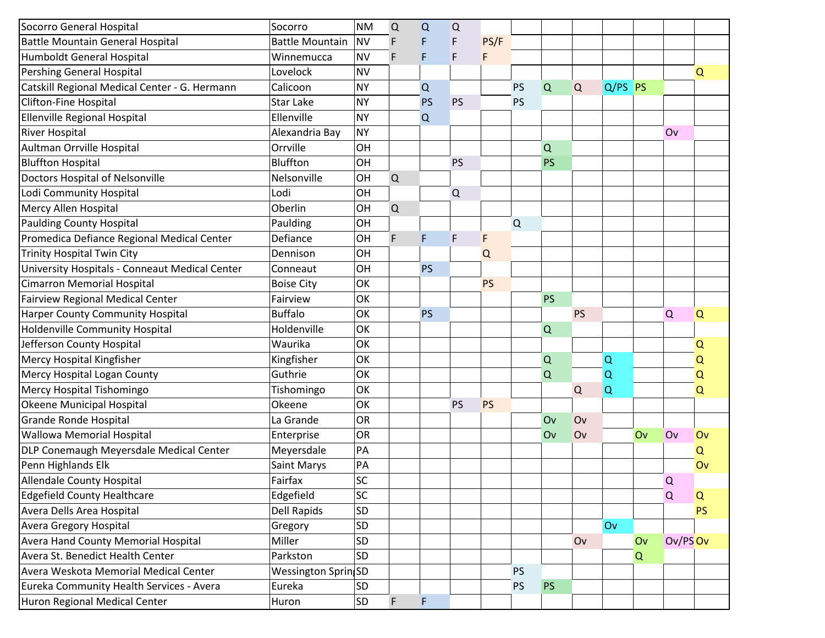| Socorro General Hospital                       | Socorro                | <b>NM</b> | Q           | Q         | Q           |           |           |           |           |           |    |          |           |
|------------------------------------------------|------------------------|-----------|-------------|-----------|-------------|-----------|-----------|-----------|-----------|-----------|----|----------|-----------|
| <b>Battle Mountain General Hospital</b>        | <b>Battle Mountain</b> | <b>NV</b> | F           | F         | F           | PS/F      |           |           |           |           |    |          |           |
| <b>Humboldt General Hospital</b>               | Winnemucca             | <b>NV</b> | F           | F         | F           | F         |           |           |           |           |    |          |           |
| <b>Pershing General Hospital</b>               | Lovelock               | <b>NV</b> |             |           |             |           |           |           |           |           |    |          | $\Omega$  |
| Catskill Regional Medical Center - G. Hermann  | Calicoon               | <b>NY</b> |             | Q         |             |           | <b>PS</b> | Q         | Q         | $Q/PS$ PS |    |          |           |
| Clifton-Fine Hospital                          | <b>Star Lake</b>       | <b>NY</b> |             | <b>PS</b> | <b>PS</b>   |           | <b>PS</b> |           |           |           |    |          |           |
| <b>Ellenville Regional Hospital</b>            | Ellenville             | <b>NY</b> |             | $\Omega$  |             |           |           |           |           |           |    |          |           |
| <b>River Hospital</b>                          | Alexandria Bay         | <b>NY</b> |             |           |             |           |           |           |           |           |    | Ov       |           |
| Aultman Orrville Hospital                      | Orrville               | OH        |             |           |             |           |           | Q         |           |           |    |          |           |
| <b>Bluffton Hospital</b>                       | Bluffton               | OH        |             |           | <b>PS</b>   |           |           | PS        |           |           |    |          |           |
| <b>Doctors Hospital of Nelsonville</b>         | Nelsonville            | OH        | $\mathsf Q$ |           |             |           |           |           |           |           |    |          |           |
| Lodi Community Hospital                        | Lodi                   | OH        |             |           | $\mathsf Q$ |           |           |           |           |           |    |          |           |
| Mercy Allen Hospital                           | Oberlin                | OH        | $\mathsf Q$ |           |             |           |           |           |           |           |    |          |           |
| <b>Paulding County Hospital</b>                | Paulding               | OH        |             |           |             |           | Q         |           |           |           |    |          |           |
| Promedica Defiance Regional Medical Center     | Defiance               | OH        | $\mathsf F$ | F         | F           | F         |           |           |           |           |    |          |           |
| <b>Trinity Hospital Twin City</b>              | Dennison               | OH        |             |           |             | Q         |           |           |           |           |    |          |           |
| University Hospitals - Conneaut Medical Center | Conneaut               | OH        |             | <b>PS</b> |             |           |           |           |           |           |    |          |           |
| <b>Cimarron Memorial Hospital</b>              | <b>Boise City</b>      | OK        |             |           |             | <b>PS</b> |           |           |           |           |    |          |           |
| <b>Fairview Regional Medical Center</b>        | Fairview               | OK        |             |           |             |           |           | PS        |           |           |    |          |           |
| <b>Harper County Community Hospital</b>        | <b>Buffalo</b>         | OK        |             | <b>PS</b> |             |           |           |           | <b>PS</b> |           |    | Q        | Q         |
| <b>Holdenville Community Hospital</b>          | Holdenville            | OK        |             |           |             |           |           | Q         |           |           |    |          |           |
| Jefferson County Hospital                      | Waurika                | OK        |             |           |             |           |           |           |           |           |    |          | Q         |
| Mercy Hospital Kingfisher                      | Kingfisher             | OK        |             |           |             |           |           | Q         |           | $\Omega$  |    |          | Q         |
| Mercy Hospital Logan County                    | Guthrie                | OK        |             |           |             |           |           | Q         |           | $\Omega$  |    |          | Q         |
| Mercy Hospital Tishomingo                      | Tishomingo             | OK        |             |           |             |           |           |           | Q         | $\Omega$  |    |          | Q         |
| Okeene Municipal Hospital                      | Okeene                 | OK        |             |           | <b>PS</b>   | PS        |           |           |           |           |    |          |           |
| <b>Grande Ronde Hospital</b>                   | La Grande              | OR        |             |           |             |           |           | Ov        | Ov        |           |    |          |           |
| <b>Wallowa Memorial Hospital</b>               | Enterprise             | OR        |             |           |             |           |           | Ov        | Ov        |           | Ov | Ov       | Ov        |
| DLP Conemaugh Meyersdale Medical Center        | Meyersdale             | PA        |             |           |             |           |           |           |           |           |    |          | Q         |
| Penn Highlands Elk                             | Saint Marys            | PA        |             |           |             |           |           |           |           |           |    |          | Ov        |
| <b>Allendale County Hospital</b>               | Fairfax                | SC        |             |           |             |           |           |           |           |           |    | Q        |           |
| <b>Edgefield County Healthcare</b>             | Edgefield              | SC        |             |           |             |           |           |           |           |           |    | Q        | Q         |
| Avera Dells Area Hospital                      | <b>Dell Rapids</b>     | SD        |             |           |             |           |           |           |           |           |    |          | <b>PS</b> |
| <b>Avera Gregory Hospital</b>                  | Gregory                | SD        |             |           |             |           |           |           |           | Ov        |    |          |           |
| <b>Avera Hand County Memorial Hospital</b>     | Miller                 | SD        |             |           |             |           |           |           | Ov        |           | Ov | Ov/PS Ov |           |
| Avera St. Benedict Health Center               | Parkston               | SD        |             |           |             |           |           |           |           |           | Q  |          |           |
| Avera Weskota Memorial Medical Center          | Wessington Sprin SD    |           |             |           |             |           | <b>PS</b> |           |           |           |    |          |           |
| Eureka Community Health Services - Avera       | Eureka                 | SD        |             |           |             |           | <b>PS</b> | <b>PS</b> |           |           |    |          |           |
| Huron Regional Medical Center                  | Huron                  | SD        | $\mathsf F$ | F         |             |           |           |           |           |           |    |          |           |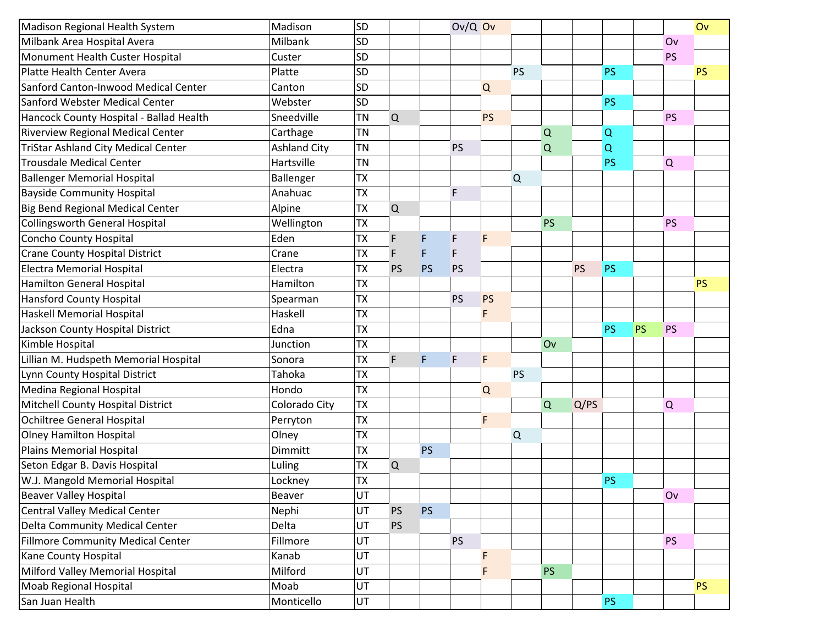| Madison Regional Health System             | Madison             | SD        |             |           | $Ov/Q$ Ov |           |             |           |           |           |           |           | Ov        |
|--------------------------------------------|---------------------|-----------|-------------|-----------|-----------|-----------|-------------|-----------|-----------|-----------|-----------|-----------|-----------|
| Milbank Area Hospital Avera                | Milbank             | SD        |             |           |           |           |             |           |           |           |           | Ov        |           |
| Monument Health Custer Hospital            | Custer              | SD        |             |           |           |           |             |           |           |           |           | <b>PS</b> |           |
| Platte Health Center Avera                 | Platte              | SD        |             |           |           |           | <b>PS</b>   |           |           | <b>PS</b> |           |           | <b>PS</b> |
| Sanford Canton-Inwood Medical Center       | Canton              | SD        |             |           |           | Q         |             |           |           |           |           |           |           |
| Sanford Webster Medical Center             | Webster             | SD        |             |           |           |           |             |           |           | <b>PS</b> |           |           |           |
| Hancock County Hospital - Ballad Health    | Sneedville          | <b>TN</b> | $\Omega$    |           |           | <b>PS</b> |             |           |           |           |           | <b>PS</b> |           |
| Riverview Regional Medical Center          | Carthage            | <b>TN</b> |             |           |           |           |             | $\Omega$  |           | Q         |           |           |           |
| <b>TriStar Ashland City Medical Center</b> | <b>Ashland City</b> | <b>TN</b> |             |           | <b>PS</b> |           |             | Q         |           | Q         |           |           |           |
| <b>Trousdale Medical Center</b>            | Hartsville          | <b>TN</b> |             |           |           |           |             |           |           | <b>PS</b> |           | Q         |           |
| <b>Ballenger Memorial Hospital</b>         | Ballenger           | <b>TX</b> |             |           |           |           | $\mathsf Q$ |           |           |           |           |           |           |
| <b>Bayside Community Hospital</b>          | Anahuac             | <b>TX</b> |             |           | F         |           |             |           |           |           |           |           |           |
| <b>Big Bend Regional Medical Center</b>    | Alpine              | <b>TX</b> | $\mathsf Q$ |           |           |           |             |           |           |           |           |           |           |
| <b>Collingsworth General Hospital</b>      | Wellington          | <b>TX</b> |             |           |           |           |             | <b>PS</b> |           |           |           | <b>PS</b> |           |
| <b>Concho County Hospital</b>              | Eden                | <b>TX</b> | F           | F         | F         | F         |             |           |           |           |           |           |           |
| <b>Crane County Hospital District</b>      | Crane               | <b>TX</b> | F           | F         | F         |           |             |           |           |           |           |           |           |
| <b>Electra Memorial Hospital</b>           | Electra             | <b>TX</b> | <b>PS</b>   | <b>PS</b> | PS        |           |             |           | <b>PS</b> | <b>PS</b> |           |           |           |
| <b>Hamilton General Hospital</b>           | Hamilton            | <b>TX</b> |             |           |           |           |             |           |           |           |           |           | <b>PS</b> |
| <b>Hansford County Hospital</b>            | Spearman            | <b>TX</b> |             |           | PS        | PS        |             |           |           |           |           |           |           |
| <b>Haskell Memorial Hospital</b>           | Haskell             | <b>TX</b> |             |           |           | F         |             |           |           |           |           |           |           |
| Jackson County Hospital District           | Edna                | <b>TX</b> |             |           |           |           |             |           |           | <b>PS</b> | <b>PS</b> | <b>PS</b> |           |
| Kimble Hospital                            | Junction            | <b>TX</b> |             |           |           |           |             | Ov        |           |           |           |           |           |
| Lillian M. Hudspeth Memorial Hospital      | Sonora              | <b>TX</b> | F           | F         | F.        | F         |             |           |           |           |           |           |           |
| Lynn County Hospital District              | Tahoka              | <b>TX</b> |             |           |           |           | <b>PS</b>   |           |           |           |           |           |           |
| Medina Regional Hospital                   | Hondo               | <b>TX</b> |             |           |           | Q         |             |           |           |           |           |           |           |
| Mitchell County Hospital District          | Colorado City       | <b>TX</b> |             |           |           |           |             | Q         | Q/PS      |           |           | Q         |           |
| <b>Ochiltree General Hospital</b>          | Perryton            | <b>TX</b> |             |           |           | F         |             |           |           |           |           |           |           |
| <b>Olney Hamilton Hospital</b>             | Olney               | <b>TX</b> |             |           |           |           | Q           |           |           |           |           |           |           |
| <b>Plains Memorial Hospital</b>            | Dimmitt             | <b>TX</b> |             | <b>PS</b> |           |           |             |           |           |           |           |           |           |
| Seton Edgar B. Davis Hospital              | Luling              | <b>TX</b> | Q           |           |           |           |             |           |           |           |           |           |           |
| W.J. Mangold Memorial Hospital             | Lockney             | <b>TX</b> |             |           |           |           |             |           |           | <b>PS</b> |           |           |           |
| <b>Beaver Valley Hospital</b>              | Beaver              | UT        |             |           |           |           |             |           |           |           |           | Ov        |           |
| <b>Central Valley Medical Center</b>       | Nephi               | UT        | <b>PS</b>   | <b>PS</b> |           |           |             |           |           |           |           |           |           |
| Delta Community Medical Center             | Delta               | UT        | <b>PS</b>   |           |           |           |             |           |           |           |           |           |           |
| <b>Fillmore Community Medical Center</b>   |                     |           |             |           |           |           |             |           |           |           |           |           |           |
|                                            | Fillmore            | UT        |             |           | <b>PS</b> |           |             |           |           |           |           | <b>PS</b> |           |
| Kane County Hospital                       | Kanab               | UT        |             |           |           |           |             |           |           |           |           |           |           |
| Milford Valley Memorial Hospital           | Milford             | UT        |             |           |           | F         |             | <b>PS</b> |           |           |           |           |           |
| Moab Regional Hospital                     | Moab                | UT        |             |           |           |           |             |           |           |           |           |           | PS        |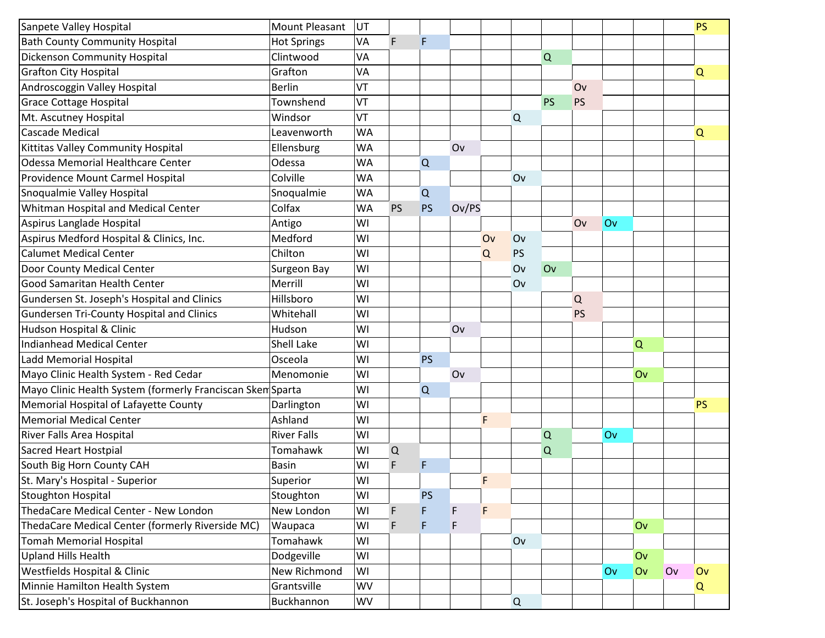| Sanpete Valley Hospital                                    | <b>Mount Pleasant</b> | UT        |             |           |       |    |          |           |           |    |    |    | <b>PS</b> |
|------------------------------------------------------------|-----------------------|-----------|-------------|-----------|-------|----|----------|-----------|-----------|----|----|----|-----------|
| <b>Bath County Community Hospital</b>                      | <b>Hot Springs</b>    | VA        | F           | F         |       |    |          |           |           |    |    |    |           |
| <b>Dickenson Community Hospital</b>                        | Clintwood             | VA        |             |           |       |    |          | Q         |           |    |    |    |           |
| <b>Grafton City Hospital</b>                               | Grafton               | VA        |             |           |       |    |          |           |           |    |    |    | $\Omega$  |
| Androscoggin Valley Hospital                               | <b>Berlin</b>         | VT        |             |           |       |    |          |           | Ov        |    |    |    |           |
| <b>Grace Cottage Hospital</b>                              | Townshend             | VT        |             |           |       |    |          | <b>PS</b> | <b>PS</b> |    |    |    |           |
| Mt. Ascutney Hospital                                      | Windsor               | VT        |             |           |       |    | $\Omega$ |           |           |    |    |    |           |
| <b>Cascade Medical</b>                                     | Leavenworth           | <b>WA</b> |             |           |       |    |          |           |           |    |    |    | Q         |
| Kittitas Valley Community Hospital                         | Ellensburg            | <b>WA</b> |             |           | Ov    |    |          |           |           |    |    |    |           |
| <b>Odessa Memorial Healthcare Center</b>                   | Odessa                | WA        |             | Q         |       |    |          |           |           |    |    |    |           |
| Providence Mount Carmel Hospital                           | Colville              | <b>WA</b> |             |           |       |    | Ov       |           |           |    |    |    |           |
| Snoqualmie Valley Hospital                                 | Snoqualmie            | WA        |             | Q         |       |    |          |           |           |    |    |    |           |
| Whitman Hospital and Medical Center                        | Colfax                | <b>WA</b> | <b>PS</b>   | <b>PS</b> | Ov/PS |    |          |           |           |    |    |    |           |
| Aspirus Langlade Hospital                                  | Antigo                | WI        |             |           |       |    |          |           | Ov        | Ov |    |    |           |
| Aspirus Medford Hospital & Clinics, Inc.                   | Medford               | WI        |             |           |       | Ov | Ov       |           |           |    |    |    |           |
| <b>Calumet Medical Center</b>                              | Chilton               | WI        |             |           |       | Q  | PS       |           |           |    |    |    |           |
| Door County Medical Center                                 | Surgeon Bay           | WI        |             |           |       |    | Ov       | Ov        |           |    |    |    |           |
| Good Samaritan Health Center                               | Merrill               | WI        |             |           |       |    | Ov       |           |           |    |    |    |           |
| Gundersen St. Joseph's Hospital and Clinics                | Hillsboro             | WI        |             |           |       |    |          |           | Q         |    |    |    |           |
| <b>Gundersen Tri-County Hospital and Clinics</b>           | Whitehall             | WI        |             |           |       |    |          |           | <b>PS</b> |    |    |    |           |
| Hudson Hospital & Clinic                                   | Hudson                | WI        |             |           | Ov    |    |          |           |           |    |    |    |           |
| <b>Indianhead Medical Center</b>                           | Shell Lake            | WI        |             |           |       |    |          |           |           |    | Q  |    |           |
| Ladd Memorial Hospital                                     | Osceola               | WI        |             | <b>PS</b> |       |    |          |           |           |    |    |    |           |
| Mayo Clinic Health System - Red Cedar                      | Menomonie             | WI        |             |           | Ov    |    |          |           |           |    | Ov |    |           |
| Mayo Clinic Health System (formerly Franciscan Skem Sparta |                       | WI        |             | Q         |       |    |          |           |           |    |    |    |           |
| Memorial Hospital of Lafayette County                      | Darlington            | WI        |             |           |       |    |          |           |           |    |    |    | <b>PS</b> |
| <b>Memorial Medical Center</b>                             | Ashland               | WI        |             |           |       | F  |          |           |           |    |    |    |           |
| River Falls Area Hospital                                  | <b>River Falls</b>    | WI        |             |           |       |    |          | $\Omega$  |           | Ov |    |    |           |
| <b>Sacred Heart Hostpial</b>                               | Tomahawk              | WI        | $\mathsf Q$ |           |       |    |          | Q         |           |    |    |    |           |
| South Big Horn County CAH                                  | <b>Basin</b>          | WI        | F           | F         |       |    |          |           |           |    |    |    |           |
| St. Mary's Hospital - Superior                             | Superior              | WI        |             |           |       | F  |          |           |           |    |    |    |           |
| Stoughton Hospital                                         | Stoughton             | WI        |             | <b>PS</b> |       |    |          |           |           |    |    |    |           |
| ThedaCare Medical Center - New London                      | New London            | WI        | F           | F         | F.    | F  |          |           |           |    |    |    |           |
| ThedaCare Medical Center (formerly Riverside MC)           | Waupaca               | WI        | F           | F         | F.    |    |          |           |           |    | Ov |    |           |
| <b>Tomah Memorial Hospital</b>                             | Tomahawk              | WI        |             |           |       |    | Ov       |           |           |    |    |    |           |
| <b>Upland Hills Health</b>                                 | Dodgeville            | WI        |             |           |       |    |          |           |           |    | Ov |    |           |
| Westfields Hospital & Clinic                               | <b>New Richmond</b>   | WI        |             |           |       |    |          |           |           | Ov | Ov | Ov | Ov        |
| Minnie Hamilton Health System                              | Grantsville           | <b>WV</b> |             |           |       |    |          |           |           |    |    |    | Q         |
| St. Joseph's Hospital of Buckhannon                        | Buckhannon            | WV        |             |           |       |    | Q        |           |           |    |    |    |           |